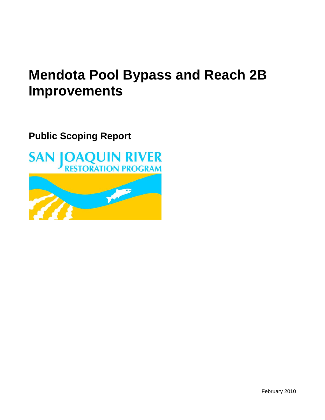# **Mendota Pool Bypass and Reach 2B Improvements**

## **Public Scoping Report**

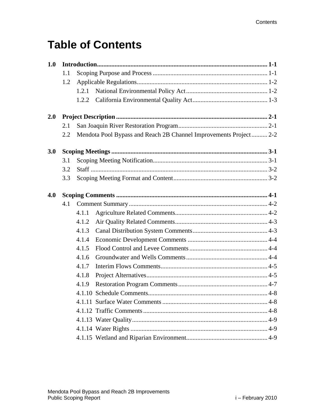## **Table of Contents**

| 1.0 |     |       |                                                                   |  |
|-----|-----|-------|-------------------------------------------------------------------|--|
|     | 1.1 |       |                                                                   |  |
|     | 1.2 |       |                                                                   |  |
|     |     | 1.2.1 |                                                                   |  |
|     |     | 1.2.2 |                                                                   |  |
| 2.0 |     |       |                                                                   |  |
|     | 2.1 |       |                                                                   |  |
|     | 2.2 |       | Mendota Pool Bypass and Reach 2B Channel Improvements Project 2-2 |  |
| 3.0 |     |       |                                                                   |  |
|     | 3.1 |       |                                                                   |  |
|     | 3.2 |       |                                                                   |  |
|     | 3.3 |       |                                                                   |  |
| 4.0 |     |       |                                                                   |  |
|     | 4.1 |       |                                                                   |  |
|     |     | 4.1.1 |                                                                   |  |
|     |     | 4.1.2 |                                                                   |  |
|     |     | 4.1.3 |                                                                   |  |
|     |     | 4.1.4 |                                                                   |  |
|     |     | 4.1.5 |                                                                   |  |
|     |     | 4.1.6 |                                                                   |  |
|     |     | 4.1.7 |                                                                   |  |
|     |     | 4.1.8 |                                                                   |  |
|     |     | 4.1.9 |                                                                   |  |
|     |     |       |                                                                   |  |
|     |     |       |                                                                   |  |
|     |     |       |                                                                   |  |
|     |     |       |                                                                   |  |
|     |     |       |                                                                   |  |
|     |     |       |                                                                   |  |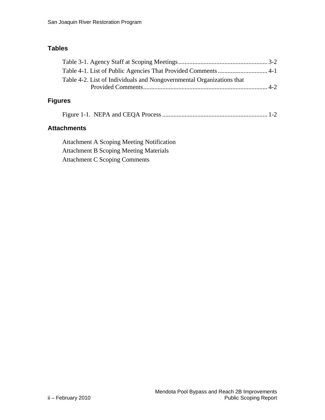### **Tables**

| Table 4-2. List of Individuals and Nongovernmental Organizations that |  |
|-----------------------------------------------------------------------|--|
|                                                                       |  |
|                                                                       |  |

### **Figures**

|--|

### **Attachments**

Attachment A Scoping Meeting Notification Attachment B Scoping Meeting Materials Attachment C Scoping Comments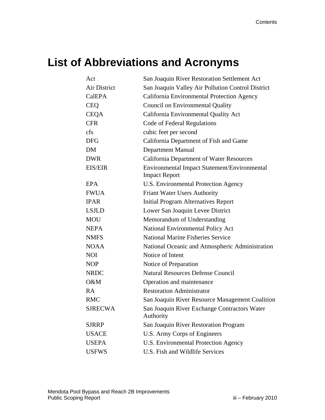## **List of Abbreviations and Acronyms**

| Act            | San Joaquin River Restoration Settlement Act                         |  |  |
|----------------|----------------------------------------------------------------------|--|--|
| Air District   | San Joaquin Valley Air Pollution Control District                    |  |  |
| CalEPA         | California Environmental Protection Agency                           |  |  |
| <b>CEQ</b>     | Council on Environmental Quality                                     |  |  |
| <b>CEQA</b>    | California Environmental Quality Act                                 |  |  |
| <b>CFR</b>     | Code of Federal Regulations                                          |  |  |
| cfs            | cubic feet per second                                                |  |  |
| <b>DFG</b>     | California Department of Fish and Game                               |  |  |
| <b>DM</b>      | Department Manual                                                    |  |  |
| <b>DWR</b>     | California Department of Water Resources                             |  |  |
| <b>EIS/EIR</b> | Environmental Impact Statement/Environmental<br><b>Impact Report</b> |  |  |
| <b>EPA</b>     | U.S. Environmental Protection Agency                                 |  |  |
| <b>FWUA</b>    | <b>Friant Water Users Authority</b>                                  |  |  |
| <b>IPAR</b>    | <b>Initial Program Alternatives Report</b>                           |  |  |
| <b>LSJLD</b>   | Lower San Joaquin Levee District                                     |  |  |
| <b>MOU</b>     | Memorandum of Understanding                                          |  |  |
| <b>NEPA</b>    | <b>National Environmental Policy Act</b>                             |  |  |
| <b>NMFS</b>    | <b>National Marine Fisheries Service</b>                             |  |  |
| <b>NOAA</b>    | National Oceanic and Atmospheric Administration                      |  |  |
| <b>NOI</b>     | Notice of Intent                                                     |  |  |
| <b>NOP</b>     | Notice of Preparation                                                |  |  |
| <b>NRDC</b>    | <b>Natural Resources Defense Council</b>                             |  |  |
| O&M            | Operation and maintenance                                            |  |  |
| RA             | <b>Restoration Administrator</b>                                     |  |  |
| <b>RMC</b>     | San Joaquin River Resource Management Coalition                      |  |  |
| <b>SJRECWA</b> | San Joaquin River Exchange Contractors Water<br>Authority            |  |  |
| <b>SJRRP</b>   | San Joaquin River Restoration Program                                |  |  |
| <b>USACE</b>   | U.S. Army Corps of Engineers                                         |  |  |
| <b>USEPA</b>   | U.S. Environmental Protection Agency                                 |  |  |
| <b>USFWS</b>   | U.S. Fish and Wildlife Services                                      |  |  |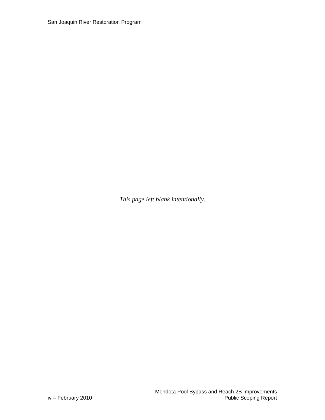*This page left blank intentionally.*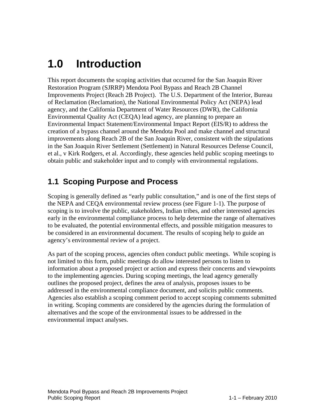# **1.0 Introduction**

This report documents the scoping activities that occurred for the San Joaquin River Restoration Program (SJRRP) Mendota Pool Bypass and Reach 2B Channel Improvements Project (Reach 2B Project). The U.S. Department of the Interior, Bureau of Reclamation (Reclamation), the National Environmental Policy Act (NEPA) lead agency, and the California Department of Water Resources (DWR), the California Environmental Quality Act (CEQA) lead agency, are planning to prepare an Environmental Impact Statement/Environmental Impact Report (EIS/R) to address the creation of a bypass channel around the Mendota Pool and make channel and structural improvements along Reach 2B of the San Joaquin River, consistent with the stipulations in the San Joaquin River Settlement (Settlement) in Natural Resources Defense Council, et al., v Kirk Rodgers, et al. Accordingly, these agencies held public scoping meetings to obtain public and stakeholder input and to comply with environmental regulations.

## **1.1 Scoping Purpose and Process**

Scoping is generally defined as "early public consultation," and is one of the first steps of the NEPA and CEQA environmental review process (see Figure 1-1). The purpose of scoping is to involve the public, stakeholders, Indian tribes, and other interested agencies early in the environmental compliance process to help determine the range of alternatives to be evaluated, the potential environmental effects, and possible mitigation measures to be considered in an environmental document. The results of scoping help to guide an agency's environmental review of a project.

As part of the scoping process, agencies often conduct public meetings. While scoping is not limited to this form, public meetings do allow interested persons to listen to information about a proposed project or action and express their concerns and viewpoints to the implementing agencies. During scoping meetings, the lead agency generally outlines the proposed project, defines the area of analysis, proposes issues to be addressed in the environmental compliance document, and solicits public comments. Agencies also establish a scoping comment period to accept scoping comments submitted in writing. Scoping comments are considered by the agencies during the formulation of alternatives and the scope of the environmental issues to be addressed in the environmental impact analyses.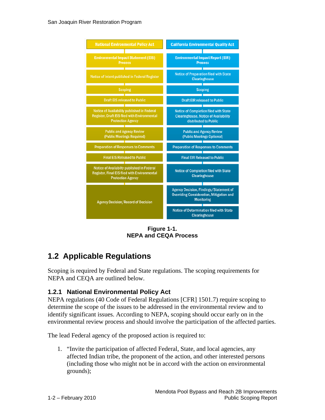

**Figure 1-1. NEPA and CEQA Process** 

## **1.2 Applicable Regulations**

Scoping is required by Federal and State regulations. The scoping requirements for NEPA and CEQA are outlined below.

### **1.2.1 National Environmental Policy Act**

NEPA regulations (40 Code of Federal Regulations [CFR] 1501.7) require scoping to determine the scope of the issues to be addressed in the environmental review and to identify significant issues. According to NEPA, scoping should occur early on in the environmental review process and should involve the participation of the affected parties.

The lead Federal agency of the proposed action is required to:

1. "Invite the participation of affected Federal, State, and local agencies, any affected Indian tribe, the proponent of the action, and other interested persons (including those who might not be in accord with the action on environmental grounds);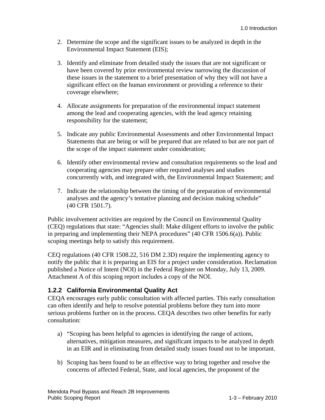- 2. Determine the scope and the significant issues to be analyzed in depth in the Environmental Impact Statement (EIS);
- 3. Identify and eliminate from detailed study the issues that are not significant or have been covered by prior environmental review narrowing the discussion of these issues in the statement to a brief presentation of why they will not have a significant effect on the human environment or providing a reference to their coverage elsewhere;
- 4. Allocate assignments for preparation of the environmental impact statement among the lead and cooperating agencies, with the lead agency retaining responsibility for the statement;
- 5. Indicate any public Environmental Assessments and other Environmental Impact Statements that are being or will be prepared that are related to but are not part of the scope of the impact statement under consideration;
- 6. Identify other environmental review and consultation requirements so the lead and cooperating agencies may prepare other required analyses and studies concurrently with, and integrated with, the Environmental Impact Statement; and
- 7. Indicate the relationship between the timing of the preparation of environmental analyses and the agency's tentative planning and decision making schedule" (40 CFR 1501.7).

Public involvement activities are required by the Council on Environmental Quality (CEQ) regulations that state: "Agencies shall: Make diligent efforts to involve the public in preparing and implementing their NEPA procedures" (40 CFR 1506.6(a)). Public scoping meetings help to satisfy this requirement.

CEQ regulations (40 CFR 1508.22, 516 DM 2.3D) require the implementing agency to notify the public that it is preparing an EIS for a project under consideration. Reclamation published a Notice of Intent (NOI) in the Federal Register on Monday, July 13, 2009. Attachment A of this scoping report includes a copy of the NOI.

### **1.2.2 California Environmental Quality Act**

CEQA encourages early public consultation with affected parties. This early consultation can often identify and help to resolve potential problems before they turn into more serious problems further on in the process. CEQA describes two other benefits for early consultation:

- a) "Scoping has been helpful to agencies in identifying the range of actions, alternatives, mitigation measures, and significant impacts to be analyzed in depth in an EIR and in eliminating from detailed study issues found not to be important.
- b) Scoping has been found to be an effective way to bring together and resolve the concerns of affected Federal, State, and local agencies, the proponent of the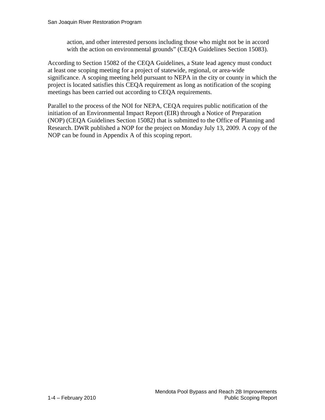action, and other interested persons including those who might not be in accord with the action on environmental grounds" (CEQA Guidelines Section 15083).

According to Section 15082 of the CEQA Guidelines, a State lead agency must conduct at least one scoping meeting for a project of statewide, regional, or area-wide significance. A scoping meeting held pursuant to NEPA in the city or county in which the project is located satisfies this CEQA requirement as long as notification of the scoping meetings has been carried out according to CEQA requirements.

Parallel to the process of the NOI for NEPA, CEQA requires public notification of the initiation of an Environmental Impact Report (EIR) through a Notice of Preparation (NOP) (CEQA Guidelines Section 15082) that is submitted to the Office of Planning and Research. DWR published a NOP for the project on Monday July 13, 2009. A copy of the NOP can be found in Appendix A of this scoping report.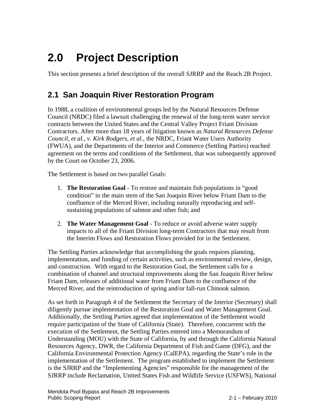# **2.0 Project Description**

This section presents a brief description of the overall SJRRP and the Reach 2B Project.

### **2.1 San Joaquin River Restoration Program**

In 1988, a coalition of environmental groups led by the Natural Resources Defense Council (NRDC) filed a lawsuit challenging the renewal of the long-term water service contracts between the United States and the Central Valley Project Friant Division Contractors. After more than 18 years of litigation known as *Natural Resources Defense Council, et al., v. Kirk Rodgers, et al.*, the NRDC, Friant Water Users Authority (FWUA), and the Departments of the Interior and Commerce (Settling Parties) reached agreement on the terms and conditions of the Settlement, that was subsequently approved by the Court on October 23, 2006.

The Settlement is based on two parallel Goals:

- 1. **The Restoration Goal** To restore and maintain fish populations in "good condition" in the main stem of the San Joaquin River below Friant Dam to the confluence of the Merced River, including naturally reproducing and selfsustaining populations of salmon and other fish; and
- 2. **The Water Management Goal** To reduce or avoid adverse water supply impacts to all of the Friant Division long-term Contractors that may result from the Interim Flows and Restoration Flows provided for in the Settlement.

The Settling Parties acknowledge that accomplishing the goals requires planning, implementation, and funding of certain activities, such as environmental review, design, and construction. With regard to the Restoration Goal, the Settlement calls for a combination of channel and structural improvements along the San Joaquin River below Friant Dam, releases of additional water from Friant Dam to the confluence of the Merced River, and the reintroduction of spring and/or fall-run Chinook salmon.

As set forth in Paragraph 4 of the Settlement the Secretary of the Interior (Secretary) shall diligently pursue implementation of the Restoration Goal and Water Management Goal. Additionally, the Settling Parties agreed that implementation of the Settlement would require participation of the State of California (State). Therefore, concurrent with the execution of the Settlement, the Settling Parties entered into a Memorandum of Understanding (MOU) with the State of California, by and through the California Natural Resources Agency, DWR, the California Department of Fish and Game (DFG), and the California Environmental Protection Agency (CalEPA), regarding the State's role in the implementation of the Settlement. The program established to implement the Settlement is the SJRRP and the "Implementing Agencies" responsible for the management of the SJRRP include Reclamation, United States Fish and Wildlife Service (USFWS), National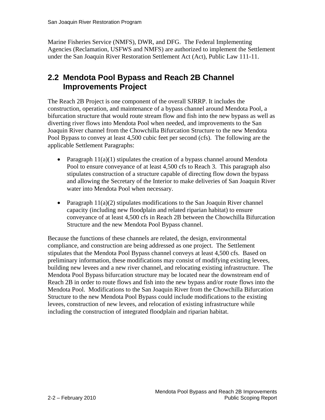Marine Fisheries Service (NMFS), DWR, and DFG. The Federal Implementing Agencies (Reclamation, USFWS and NMFS) are authorized to implement the Settlement under the San Joaquin River Restoration Settlement Act (Act), Public Law 111-11.

### **2.2 Mendota Pool Bypass and Reach 2B Channel Improvements Project**

The Reach 2B Project is one component of the overall SJRRP. It includes the construction, operation, and maintenance of a bypass channel around Mendota Pool, a bifurcation structure that would route stream flow and fish into the new bypass as well as diverting river flows into Mendota Pool when needed, and improvements to the San Joaquin River channel from the Chowchilla Bifurcation Structure to the new Mendota Pool Bypass to convey at least 4,500 cubic feet per second (cfs). The following are the applicable Settlement Paragraphs:

- Paragraph  $11(a)(1)$  stipulates the creation of a bypass channel around Mendota Pool to ensure conveyance of at least 4,500 cfs to Reach 3. This paragraph also stipulates construction of a structure capable of directing flow down the bypass and allowing the Secretary of the Interior to make deliveries of San Joaquin River water into Mendota Pool when necessary.
- Paragraph  $11(a)(2)$  stipulates modifications to the San Joaquin River channel capacity (including new floodplain and related riparian habitat) to ensure conveyance of at least 4,500 cfs in Reach 2B between the Chowchilla Bifurcation Structure and the new Mendota Pool Bypass channel.

Because the functions of these channels are related, the design, environmental compliance, and construction are being addressed as one project. The Settlement stipulates that the Mendota Pool Bypass channel conveys at least 4,500 cfs. Based on preliminary information, these modifications may consist of modifying existing levees, building new levees and a new river channel, and relocating existing infrastructure. The Mendota Pool Bypass bifurcation structure may be located near the downstream end of Reach 2B in order to route flows and fish into the new bypass and/or route flows into the Mendota Pool. Modifications to the San Joaquin River from the Chowchilla Bifurcation Structure to the new Mendota Pool Bypass could include modifications to the existing levees, construction of new levees, and relocation of existing infrastructure while including the construction of integrated floodplain and riparian habitat.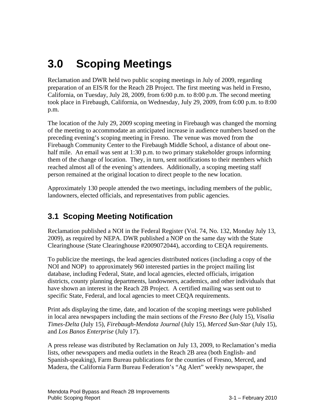# **3.0 Scoping Meetings**

Reclamation and DWR held two public scoping meetings in July of 2009, regarding preparation of an EIS/R for the Reach 2B Project. The first meeting was held in Fresno, California, on Tuesday, July 28, 2009, from 6:00 p.m. to 8:00 p.m. The second meeting took place in Firebaugh, California, on Wednesday, July 29, 2009, from 6:00 p.m. to 8:00 p.m.

The location of the July 29, 2009 scoping meeting in Firebaugh was changed the morning of the meeting to accommodate an anticipated increase in audience numbers based on the preceding evening's scoping meeting in Fresno. The venue was moved from the Firebaugh Community Center to the Firebaugh Middle School, a distance of about onehalf mile. An email was sent at 1:30 p.m. to two primary stakeholder groups informing them of the change of location. They, in turn, sent notifications to their members which reached almost all of the evening's attendees. Additionally, a scoping meeting staff person remained at the original location to direct people to the new location.

Approximately 130 people attended the two meetings, including members of the public, landowners, elected officials, and representatives from public agencies.

## **3.1 Scoping Meeting Notification**

Reclamation published a NOI in the Federal Register (Vol. 74, No. 132, Monday July 13, 2009), as required by NEPA. DWR published a NOP on the same day with the State Clearinghouse (State Clearinghouse #2009072044), according to CEQA requirements.

To publicize the meetings, the lead agencies distributed notices (including a copy of the NOI and NOP) to approximately 960 interested parties in the project mailing list database, including Federal, State, and local agencies, elected officials, irrigation districts, county planning departments, landowners, academics, and other individuals that have shown an interest in the Reach 2B Project. A certified mailing was sent out to specific State, Federal, and local agencies to meet CEQA requirements.

Print ads displaying the time, date, and location of the scoping meetings were published in local area newspapers including the main sections of the *Fresno Bee* (July 15), *Visalia Times-Delta* (July 15), *Firebaugh-Mendota Journal* (July 15), *Merced Sun-Star* (July 15), and *Los Banos Enterprise* (July 17).

A press release was distributed by Reclamation on July 13, 2009, to Reclamation's media lists, other newspapers and media outlets in the Reach 2B area (both English- and Spanish-speaking), Farm Bureau publications for the counties of Fresno, Merced, and Madera, the California Farm Bureau Federation's "Ag Alert" weekly newspaper, the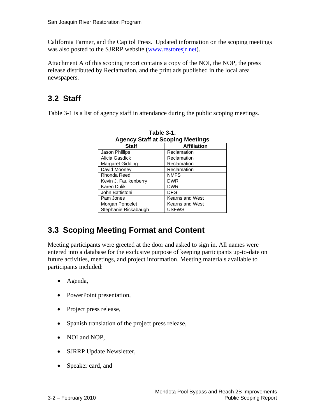California Farmer, and the Capitol Press. Updated information on the scoping meetings was also posted to the SJRRP website (www.restoresjr.net).

Attachment A of this scoping report contains a copy of the NOI, the NOP, the press release distributed by Reclamation, and the print ads published in the local area newspapers.

## **3.2 Staff**

Table 3-1 is a list of agency staff in attendance during the public scoping meetings.

| Agency Staff at Scoping Meetings |                    |  |  |  |
|----------------------------------|--------------------|--|--|--|
| <b>Staff</b>                     | <b>Affiliation</b> |  |  |  |
| Jason Phillips                   | Reclamation        |  |  |  |
| Alicia Gasdick                   | Reclamation        |  |  |  |
| <b>Margaret Gidding</b>          | Reclamation        |  |  |  |
| David Mooney                     | Reclamation        |  |  |  |
| Rhonda Reed                      | <b>NMFS</b>        |  |  |  |
| Kevin J. Faulkenberry            | <b>DWR</b>         |  |  |  |
| <b>Karen Dulik</b>               | <b>DWR</b>         |  |  |  |
| John Battistoni                  | DFG                |  |  |  |
| Pam Jones                        | Kearns and West    |  |  |  |
| Morgan Poncelet                  | Kearns and West    |  |  |  |
| Stephanie Rickabaugh             | <b>USFWS</b>       |  |  |  |

**Table 3-1. Agency Staff at Scoping Meetings** 

## **3.3 Scoping Meeting Format and Content**

Meeting participants were greeted at the door and asked to sign in. All names were entered into a database for the exclusive purpose of keeping participants up-to-date on future activities, meetings, and project information. Meeting materials available to participants included:

- Agenda,
- PowerPoint presentation,
- Project press release,
- Spanish translation of the project press release,
- NOI and NOP,
- SJRRP Update Newsletter,
- Speaker card, and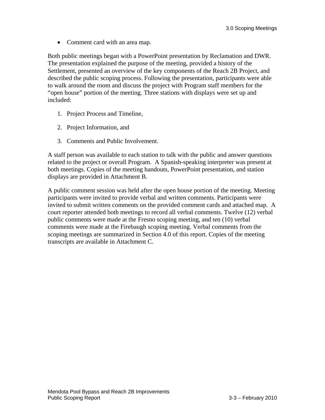• Comment card with an area map.

Both public meetings began with a PowerPoint presentation by Reclamation and DWR. The presentation explained the purpose of the meeting, provided a history of the Settlement, presented an overview of the key components of the Reach 2B Project, and described the public scoping process. Following the presentation, participants were able to walk around the room and discuss the project with Program staff members for the "open house" portion of the meeting. Three stations with displays were set up and included:

- 1. Project Process and Timeline,
- 2. Project Information, and
- 3. Comments and Public Involvement.

A staff person was available to each station to talk with the public and answer questions related to the project or overall Program. A Spanish-speaking interpreter was present at both meetings. Copies of the meeting handouts, PowerPoint presentation, and station displays are provided in Attachment B.

A public comment session was held after the open house portion of the meeting. Meeting participants were invited to provide verbal and written comments. Participants were invited to submit written comments on the provided comment cards and attached map. A court reporter attended both meetings to record all verbal comments. Twelve (12) verbal public comments were made at the Fresno scoping meeting, and ten (10) verbal comments were made at the Firebaugh scoping meeting. Verbal comments from the scoping meetings are summarized in Section 4.0 of this report. Copies of the meeting transcripts are available in Attachment C.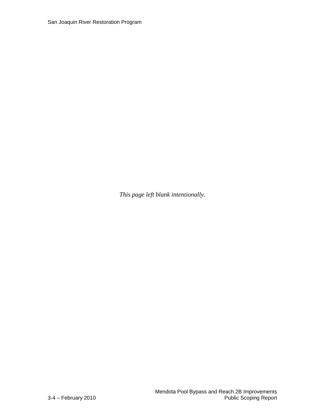*This page left blank intentionally.*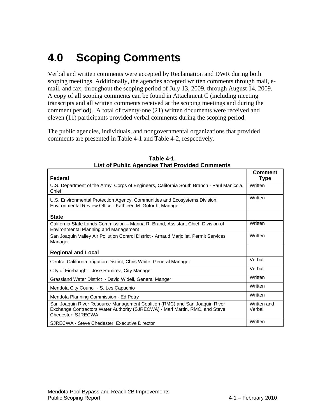# **4.0 Scoping Comments**

Verbal and written comments were accepted by Reclamation and DWR during both scoping meetings. Additionally, the agencies accepted written comments through mail, email, and fax, throughout the scoping period of July 13, 2009, through August 14, 2009. A copy of all scoping comments can be found in Attachment C (including meeting transcripts and all written comments received at the scoping meetings and during the comment period). A total of twenty-one (21) written documents were received and eleven (11) participants provided verbal comments during the scoping period.

The public agencies, individuals, and nongovernmental organizations that provided comments are presented in Table 4-1 and Table 4-2, respectively.

| בוטו טו ו מאווט הקטווטוטט ו וומנ ו וטעומטט טטוווווטוונט                                                                                                                           |                               |
|-----------------------------------------------------------------------------------------------------------------------------------------------------------------------------------|-------------------------------|
| Federal                                                                                                                                                                           | <b>Comment</b><br><b>Type</b> |
| U.S. Department of the Army, Corps of Engineers, California South Branch - Paul Maniccia,<br>Chief                                                                                | Written                       |
| U.S. Environmental Protection Agency, Communities and Ecosystems Division,<br>Environmental Review Office - Kathleen M. Goforth, Manager                                          | Written                       |
| <b>State</b>                                                                                                                                                                      |                               |
| California State Lands Commission – Marina R. Brand, Assistant Chief, Division of<br><b>Environmental Planning and Management</b>                                                 | Written                       |
| San Joaquin Valley Air Pollution Control District - Arnaud Marjollet, Permit Services<br>Manager                                                                                  | Written                       |
| <b>Regional and Local</b>                                                                                                                                                         |                               |
| Central California Irrigation District, Chris White, General Manager                                                                                                              | Verbal                        |
| City of Firebaugh – Jose Ramirez, City Manager                                                                                                                                    | Verbal                        |
| Grassland Water District - David Widell, General Manger                                                                                                                           | Written                       |
| Mendota City Council - S. Les Capuchio                                                                                                                                            | Written                       |
| Mendota Planning Commission - Ed Petry                                                                                                                                            | Written                       |
| San Joaquin River Resource Management Coalition (RMC) and San Joaquin River<br>Exchange Contractors Water Authority (SJRECWA) - Mari Martin, RMC, and Steve<br>Chedester, SJRECWA | Written and<br>Verbal         |
| SJRECWA - Steve Chedester, Executive Director                                                                                                                                     | Written                       |

**Table 4-1. List of Public Agencies That Provided Comments**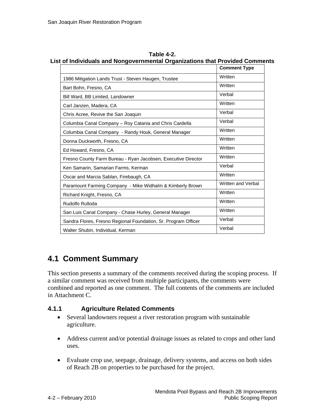| Table 4-2.                                                                   |
|------------------------------------------------------------------------------|
| List of Individuals and Nongovernmental Organizations that Provided Comments |

|                                                                | <b>Comment Type</b> |
|----------------------------------------------------------------|---------------------|
| 1986 Mitigation Lands Trust - Steven Haugen, Trustee           | Written             |
| Bart Bohn, Fresno, CA                                          | Written             |
| Bill Ward, BB Limited, Landowner                               | Verbal              |
| Carl Janzen, Madera, CA                                        | Written             |
| Chris Acree, Revive the San Joaquin                            | Verbal              |
| Columbia Canal Company - Roy Catania and Chris Cardella        | Verbal              |
| Columbia Canal Company - Randy Houk, General Manager           | Written             |
| Donna Duckworth, Fresno, CA                                    | Written             |
| Ed Howard, Fresno, CA                                          | Written             |
| Fresno County Farm Bureau - Ryan Jacobsen, Executive Director  | Written             |
| Ken Samarin, Samarian Farms, Kerman                            | Verbal              |
| Oscar and Marcia Sablan, Firebaugh, CA                         | Written             |
| Paramount Farming Company - Mike Widhalm & Kimberly Brown      | Written and Verbal  |
| Richard Knight, Fresno, CA                                     | Written             |
| Rudolfo Rulloda                                                | Written             |
| San Luis Canal Company - Chase Hurley, General Manager         | Written             |
| Sandra Flores, Fresno Regional Foundation, Sr. Program Officer | Verbal              |
| Walter Shubin, Individual, Kerman                              | Verbal              |

### **4.1 Comment Summary**

This section presents a summary of the comments received during the scoping process. If a similar comment was received from multiple participants, the comments were combined and reported as one comment. The full contents of the comments are included in Attachment C.

#### **4.1.1 Agriculture Related Comments**

- Several landowners request a river restoration program with sustainable agriculture.
- Address current and/or potential drainage issues as related to crops and other land uses.
- Evaluate crop use, seepage, drainage, delivery systems, and access on both sides of Reach 2B on properties to be purchased for the project.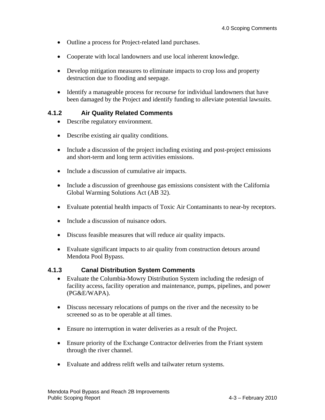- Outline a process for Project-related land purchases.
- Cooperate with local landowners and use local inherent knowledge.
- Develop mitigation measures to eliminate impacts to crop loss and property destruction due to flooding and seepage.
- Identify a manageable process for recourse for individual landowners that have been damaged by the Project and identify funding to alleviate potential lawsuits.

### **4.1.2 Air Quality Related Comments**

- Describe regulatory environment.
- Describe existing air quality conditions.
- Include a discussion of the project including existing and post-project emissions and short-term and long term activities emissions.
- Include a discussion of cumulative air impacts.
- Include a discussion of greenhouse gas emissions consistent with the California Global Warming Solutions Act (AB 32).
- Evaluate potential health impacts of Toxic Air Contaminants to near-by receptors.
- Include a discussion of nuisance odors.
- Discuss feasible measures that will reduce air quality impacts.
- Evaluate significant impacts to air quality from construction detours around Mendota Pool Bypass.

#### **4.1.3 Canal Distribution System Comments**

- Evaluate the Columbia-Mowry Distribution System including the redesign of facility access, facility operation and maintenance, pumps, pipelines, and power (PG&E/WAPA).
- Discuss necessary relocations of pumps on the river and the necessity to be screened so as to be operable at all times.
- Ensure no interruption in water deliveries as a result of the Project.
- Ensure priority of the Exchange Contractor deliveries from the Friant system through the river channel.
- Evaluate and address relift wells and tailwater return systems.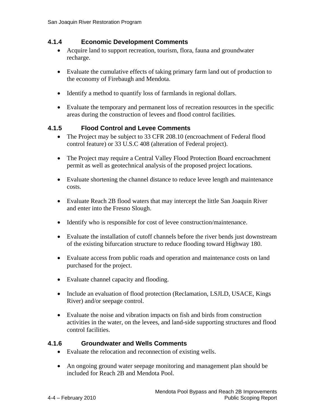### **4.1.4 Economic Development Comments**

- Acquire land to support recreation, tourism, flora, fauna and groundwater recharge.
- Evaluate the cumulative effects of taking primary farm land out of production to the economy of Firebaugh and Mendota.
- Identify a method to quantify loss of farmlands in regional dollars.
- Evaluate the temporary and permanent loss of recreation resources in the specific areas during the construction of levees and flood control facilities.

### **4.1.5 Flood Control and Levee Comments**

- The Project may be subject to 33 CFR 208.10 (encroachment of Federal flood control feature) or 33 U.S.C 408 (alteration of Federal project).
- The Project may require a Central Valley Flood Protection Board encroachment permit as well as geotechnical analysis of the proposed project locations.
- Evaluate shortening the channel distance to reduce levee length and maintenance costs.
- Evaluate Reach 2B flood waters that may intercept the little San Joaquin River and enter into the Fresno Slough.
- Identify who is responsible for cost of levee construction/maintenance.
- Evaluate the installation of cutoff channels before the river bends just downstream of the existing bifurcation structure to reduce flooding toward Highway 180.
- Evaluate access from public roads and operation and maintenance costs on land purchased for the project.
- Evaluate channel capacity and flooding.
- Include an evaluation of flood protection (Reclamation, LSJLD, USACE, Kings River) and/or seepage control.
- Evaluate the noise and vibration impacts on fish and birds from construction activities in the water, on the levees, and land-side supporting structures and flood control facilities.

#### **4.1.6 Groundwater and Wells Comments**

- Evaluate the relocation and reconnection of existing wells.
- An ongoing ground water seepage monitoring and management plan should be included for Reach 2B and Mendota Pool.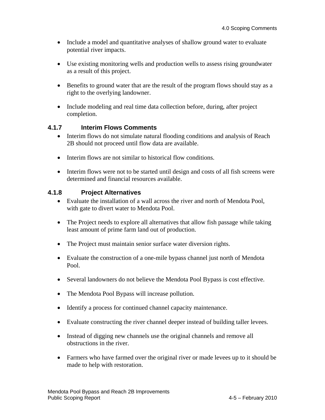- Include a model and quantitative analyses of shallow ground water to evaluate potential river impacts.
- Use existing monitoring wells and production wells to assess rising groundwater as a result of this project.
- Benefits to ground water that are the result of the program flows should stay as a right to the overlying landowner.
- Include modeling and real time data collection before, during, after project completion.

### **4.1.7 Interim Flows Comments**

- Interim flows do not simulate natural flooding conditions and analysis of Reach 2B should not proceed until flow data are available.
- Interim flows are not similar to historical flow conditions.
- Interim flows were not to be started until design and costs of all fish screens were determined and financial resources available.

#### **4.1.8 Project Alternatives**

- Evaluate the installation of a wall across the river and north of Mendota Pool, with gate to divert water to Mendota Pool.
- The Project needs to explore all alternatives that allow fish passage while taking least amount of prime farm land out of production.
- The Project must maintain senior surface water diversion rights.
- Evaluate the construction of a one-mile bypass channel just north of Mendota Pool.
- Several landowners do not believe the Mendota Pool Bypass is cost effective.
- The Mendota Pool Bypass will increase pollution.
- Identify a process for continued channel capacity maintenance.
- Evaluate constructing the river channel deeper instead of building taller levees.
- Instead of digging new channels use the original channels and remove all obstructions in the river.
- Farmers who have farmed over the original river or made levees up to it should be made to help with restoration.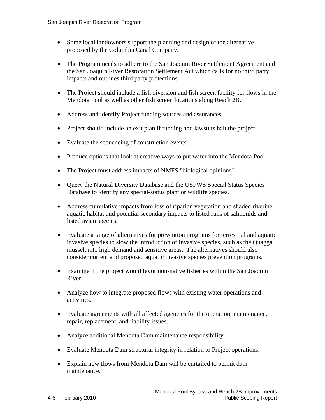- Some local landowners support the planning and design of the alternative proposed by the Columbia Canal Company.
- The Program needs to adhere to the San Joaquin River Settlement Agreement and the San Joaquin River Restoration Settlement Act which calls for no third party impacts and outlines third party protections.
- The Project should include a fish diversion and fish screen facility for flows in the Mendota Pool as well as other fish screen locations along Reach 2B.
- Address and identify Project funding sources and assurances.
- Project should include an exit plan if funding and lawsuits halt the project.
- Evaluate the sequencing of construction events.
- Produce options that look at creative ways to put water into the Mendota Pool.
- The Project must address impacts of NMFS "biological opinions".
- Ouery the Natural Diversity Database and the USFWS Special Status Species Database to identify any special-status plant or wildlife species.
- Address cumulative impacts from loss of riparian vegetation and shaded riverine aquatic habitat and potential secondary impacts to listed runs of salmonids and listed avian species.
- Evaluate a range of alternatives for prevention programs for terrestrial and aquatic invasive species to slow the introduction of invasive species, such as the Quagga mussel, into high demand and sensitive areas. The alternatives should also consider current and proposed aquatic invasive species prevention programs.
- Examine if the project would favor non-native fisheries within the San Joaquin River.
- Analyze how to integrate proposed flows with existing water operations and activities.
- Evaluate agreements with all affected agencies for the operation, maintenance, repair, replacement, and liability issues.
- Analyze additional Mendota Dam maintenance responsibility.
- Evaluate Mendota Dam structural integrity in relation to Project operations.
- Explain how flows from Mendota Dam will be curtailed to permit dam maintenance.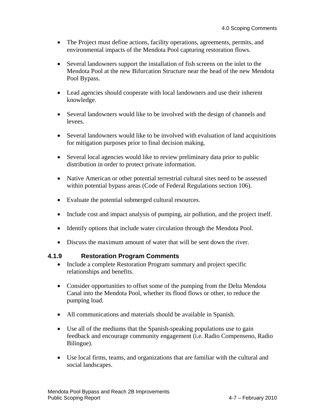- The Project must define actions, facility operations, agreements, permits, and environmental impacts of the Mendota Pool capturing restoration flows.
- Several landowners support the installation of fish screens on the inlet to the Mendota Pool at the new Bifurcation Structure near the head of the new Mendota Pool Bypass.
- Lead agencies should cooperate with local landowners and use their inherent knowledge.
- Several landowners would like to be involved with the design of channels and levees.
- Several landowners would like to be involved with evaluation of land acquisitions for mitigation purposes prior to final decision making.
- Several local agencies would like to review preliminary data prior to public distribution in order to protect private information.
- Native American or other potential terrestrial cultural sites need to be assessed within potential bypass areas (Code of Federal Regulations section 106).
- Evaluate the potential submerged cultural resources.
- Include cost and impact analysis of pumping, air pollution, and the project itself.
- Identify options that include water circulation through the Mendota Pool.
- Discuss the maximum amount of water that will be sent down the river.

#### **4.1.9 Restoration Program Comments**

- Include a complete Restoration Program summary and project specific relationships and benefits.
- Consider opportunities to offset some of the pumping from the Delta Mendota Canal into the Mendota Pool, whether its flood flows or other, to reduce the pumping load.
- All communications and materials should be available in Spanish.
- Use all of the mediums that the Spanish-speaking populations use to gain feedback and encourage community engagement (i.e. Radio Compenseno, Radio Bilingue).
- Use local firms, teams, and organizations that are familiar with the cultural and social landscapes.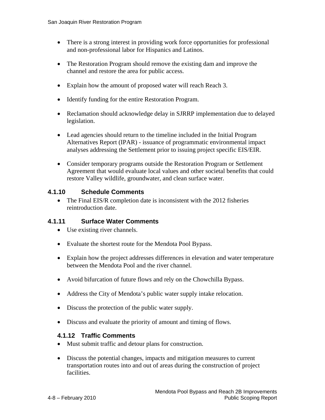- There is a strong interest in providing work force opportunities for professional and non-professional labor for Hispanics and Latinos.
- The Restoration Program should remove the existing dam and improve the channel and restore the area for public access.
- Explain how the amount of proposed water will reach Reach 3.
- Identify funding for the entire Restoration Program.
- Reclamation should acknowledge delay in SJRRP implementation due to delayed legislation.
- Lead agencies should return to the timeline included in the Initial Program Alternatives Report (IPAR) - issuance of programmatic environmental impact analyses addressing the Settlement prior to issuing project specific EIS/EIR.
- Consider temporary programs outside the Restoration Program or Settlement Agreement that would evaluate local values and other societal benefits that could restore Valley wildlife, groundwater, and clean surface water.

### **4.1.10 Schedule Comments**

• The Final EIS/R completion date is inconsistent with the 2012 fisheries reintroduction date.

### **4.1.11 Surface Water Comments**

- Use existing river channels.
- Evaluate the shortest route for the Mendota Pool Bypass.
- Explain how the project addresses differences in elevation and water temperature between the Mendota Pool and the river channel.
- Avoid bifurcation of future flows and rely on the Chowchilla Bypass.
- Address the City of Mendota's public water supply intake relocation.
- Discuss the protection of the public water supply.
- Discuss and evaluate the priority of amount and timing of flows.

### **4.1.12 Traffic Comments**

- Must submit traffic and detour plans for construction.
- Discuss the potential changes, impacts and mitigation measures to current transportation routes into and out of areas during the construction of project facilities.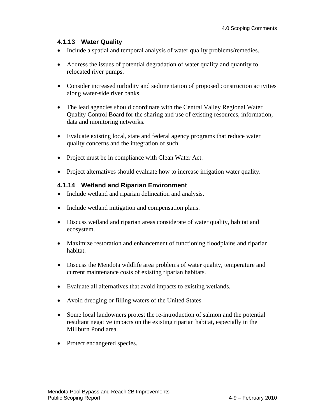#### **4.1.13 Water Quality**

- Include a spatial and temporal analysis of water quality problems/remedies.
- Address the issues of potential degradation of water quality and quantity to relocated river pumps.
- Consider increased turbidity and sedimentation of proposed construction activities along water-side river banks.
- The lead agencies should coordinate with the Central Valley Regional Water Quality Control Board for the sharing and use of existing resources, information, data and monitoring networks.
- Evaluate existing local, state and federal agency programs that reduce water quality concerns and the integration of such.
- Project must be in compliance with Clean Water Act.
- Project alternatives should evaluate how to increase irrigation water quality.

#### **4.1.14 Wetland and Riparian Environment**

- Include wetland and riparian delineation and analysis.
- Include wetland mitigation and compensation plans.
- Discuss wetland and riparian areas considerate of water quality, habitat and ecosystem.
- Maximize restoration and enhancement of functioning floodplains and riparian habitat.
- Discuss the Mendota wildlife area problems of water quality, temperature and current maintenance costs of existing riparian habitats.
- Evaluate all alternatives that avoid impacts to existing wetlands.
- Avoid dredging or filling waters of the United States.
- Some local landowners protest the re-introduction of salmon and the potential resultant negative impacts on the existing riparian habitat, especially in the Millburn Pond area.
- Protect endangered species.